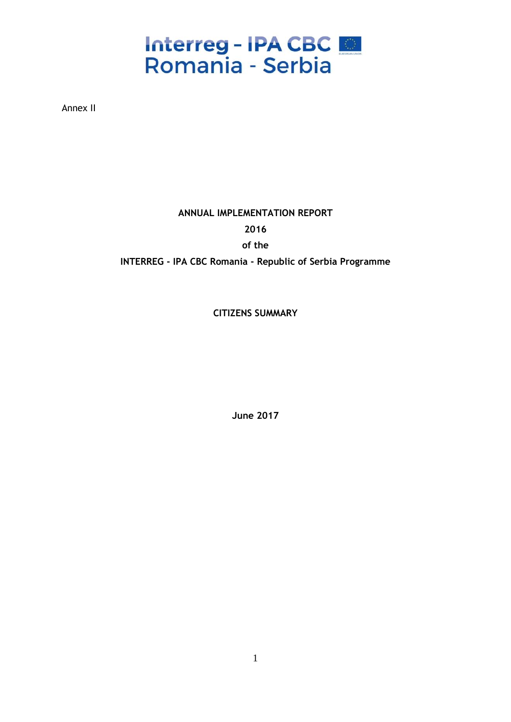## Interreg - IPA CBC

Annex II

### **ANNUAL IMPLEMENTATION REPORT 2016**

**of the** 

**INTERREG - IPA CBC Romania - Republic of Serbia Programme** 

**CITIZENS SUMMARY**

**June 2017**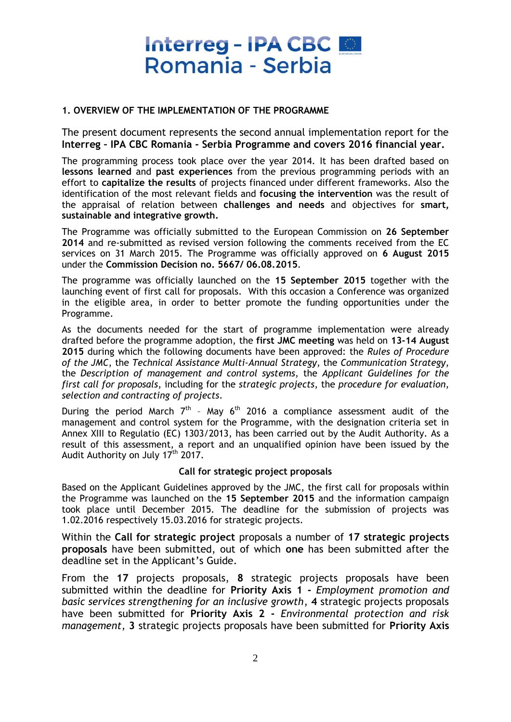#### **1. OVERVIEW OF THE IMPLEMENTATION OF THE PROGRAMME**

The present document represents the second annual implementation report for the **Interreg – IPA CBC Romania - Serbia Programme and covers 2016 financial year.**

The programming process took place over the year 2014. It has been drafted based on **lessons learned** and **past experiences** from the previous programming periods with an effort to **capitalize the results** of projects financed under different frameworks. Also the identification of the most relevant fields and **focusing the intervention** was the result of the appraisal of relation between **challenges and needs** and objectives for **smart, sustainable and integrative growth.**

The Programme was officially submitted to the European Commission on **26 September 2014** and re-submitted as revised version following the comments received from the EC services on 31 March 2015. The Programme was officially approved on **6 August 2015** under the **Commission Decision no. 5667/ 06.08.2015**.

The programme was officially launched on the **15 September 2015** together with the launching event of first call for proposals. With this occasion a Conference was organized in the eligible area, in order to better promote the funding opportunities under the Programme.

As the documents needed for the start of programme implementation were already drafted before the programme adoption, the **first JMC meeting** was held on **13-14 August 2015** during which the following documents have been approved: the *Rules of Procedure of the JMC*, the *Technical Assistance Multi-Annual Strategy*, the *Communication Strategy*, the *Description of management and control systems*, the *Applicant Guidelines for the first call for proposals*, including for the *strategic projects*, the *procedure for evaluation, selection and contracting of projects*.

During the period March  $7<sup>th</sup>$  - May  $6<sup>th</sup>$  2016 a compliance assessment audit of the management and control system for the Programme, with the designation criteria set in Annex XIII to Regulatio (EC) 1303/2013, has been carried out by the Audit Authority. As a result of this assessment, a report and an unqualified opinion have been issued by the Audit Authority on July  $17<sup>th</sup> 2017$ .

#### **Call for strategic project proposals**

Based on the Applicant Guidelines approved by the JMC, the first call for proposals within the Programme was launched on the **15 September 2015** and the information campaign took place until December 2015. The deadline for the submission of projects was 1.02.2016 respectively 15.03.2016 for strategic projects.

Within the **Call for strategic project** proposals a number of **17 strategic projects proposals** have been submitted, out of which **one** has been submitted after the deadline set in the Applicant's Guide.

From the **17** projects proposals, **8** strategic projects proposals have been submitted within the deadline for **Priority Axis 1 -** *Employment promotion and basic services strengthening for an inclusive growth*, **4** strategic projects proposals have been submitted for **Priority Axis 2 -** *Environmental protection and risk management*, **3** strategic projects proposals have been submitted for **Priority Axis**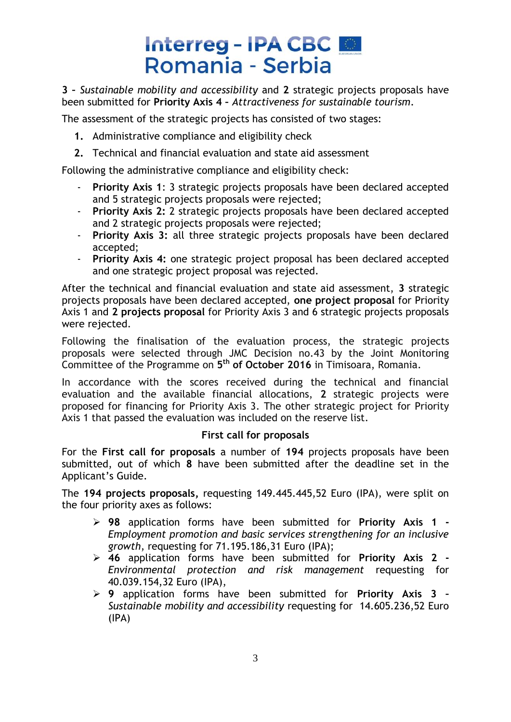**3 –** *Sustainable mobility and accessibility* and **2** strategic projects proposals have been submitted for **Priority Axis 4 –** *Attractiveness for sustainable tourism*.

The assessment of the strategic projects has consisted of two stages:

- **1.** Administrative compliance and eligibility check
- **2.** Technical and financial evaluation and state aid assessment

Following the administrative compliance and eligibility check:

- **Priority Axis 1: 3 strategic projects proposals have been declared accepted** and 5 strategic projects proposals were rejected;
- **Priority Axis 2:** 2 strategic projects proposals have been declared accepted and 2 strategic projects proposals were rejected;
- **Priority Axis 3:** all three strategic projects proposals have been declared accepted;
- **Priority Axis 4:** one strategic project proposal has been declared accepted and one strategic project proposal was rejected.

After the technical and financial evaluation and state aid assessment, **3** strategic projects proposals have been declared accepted, **one project proposal** for Priority Axis 1 and **2 projects proposal** for Priority Axis 3 and 6 strategic projects proposals were rejected.

Following the finalisation of the evaluation process, the strategic projects proposals were selected through JMC Decision no.43 by the Joint Monitoring Committee of the Programme on **5 th of October 2016** in Timisoara, Romania.

In accordance with the scores received during the technical and financial evaluation and the available financial allocations, **2** strategic projects were proposed for financing for Priority Axis 3. The other strategic project for Priority Axis 1 that passed the evaluation was included on the reserve list.

#### **First call for proposals**

For the **First call for proposals** a number of **194** projects proposals have been submitted, out of which **8** have been submitted after the deadline set in the Applicant's Guide.

The **194 projects proposals,** requesting 149.445.445,52 Euro (IPA), were split on the four priority axes as follows:

- **98** application forms have been submitted for **Priority Axis 1 -** *Employment promotion and basic services strengthening for an inclusive growth*, requesting for 71.195.186,31 Euro (IPA);
- **46** application forms have been submitted for **Priority Axis 2 -** *Environmental protection and risk management* requesting for 40.039.154,32 Euro (IPA),
- **9** application forms have been submitted for **Priority Axis 3 –** *Sustainable mobility and accessibility* requesting for 14.605.236,52 Euro (IPA)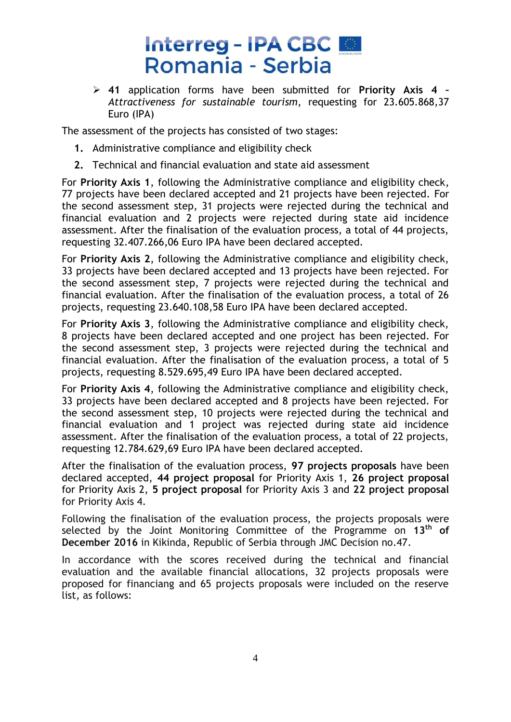**41** application forms have been submitted for **Priority Axis 4 –** *Attractiveness for sustainable tourism*, requesting for 23.605.868,37 Euro (IPA)

The assessment of the projects has consisted of two stages:

- **1.** Administrative compliance and eligibility check
- **2.** Technical and financial evaluation and state aid assessment

For **Priority Axis 1**, following the Administrative compliance and eligibility check, 77 projects have been declared accepted and 21 projects have been rejected. For the second assessment step, 31 projects were rejected during the technical and financial evaluation and 2 projects were rejected during state aid incidence assessment. After the finalisation of the evaluation process, a total of 44 projects, requesting 32.407.266,06 Euro IPA have been declared accepted.

For **Priority Axis 2**, following the Administrative compliance and eligibility check, 33 projects have been declared accepted and 13 projects have been rejected. For the second assessment step, 7 projects were rejected during the technical and financial evaluation. After the finalisation of the evaluation process, a total of 26 projects, requesting 23.640.108,58 Euro IPA have been declared accepted.

For **Priority Axis 3**, following the Administrative compliance and eligibility check, 8 projects have been declared accepted and one project has been rejected. For the second assessment step, 3 projects were rejected during the technical and financial evaluation. After the finalisation of the evaluation process, a total of 5 projects, requesting 8.529.695,49 Euro IPA have been declared accepted.

For **Priority Axis 4**, following the Administrative compliance and eligibility check, 33 projects have been declared accepted and 8 projects have been rejected. For the second assessment step, 10 projects were rejected during the technical and financial evaluation and 1 project was rejected during state aid incidence assessment. After the finalisation of the evaluation process, a total of 22 projects, requesting 12.784.629,69 Euro IPA have been declared accepted.

After the finalisation of the evaluation process, **97 projects proposals** have been declared accepted, **44 project proposal** for Priority Axis 1, **26 project proposal** for Priority Axis 2, **5 project proposal** for Priority Axis 3 and **22 project proposal** for Priority Axis 4.

Following the finalisation of the evaluation process, the projects proposals were selected by the Joint Monitoring Committee of the Programme on **13th of December 2016** in Kikinda, Republic of Serbia through JMC Decision no.47.

In accordance with the scores received during the technical and financial evaluation and the available financial allocations, 32 projects proposals were proposed for financiang and 65 projects proposals were included on the reserve list, as follows: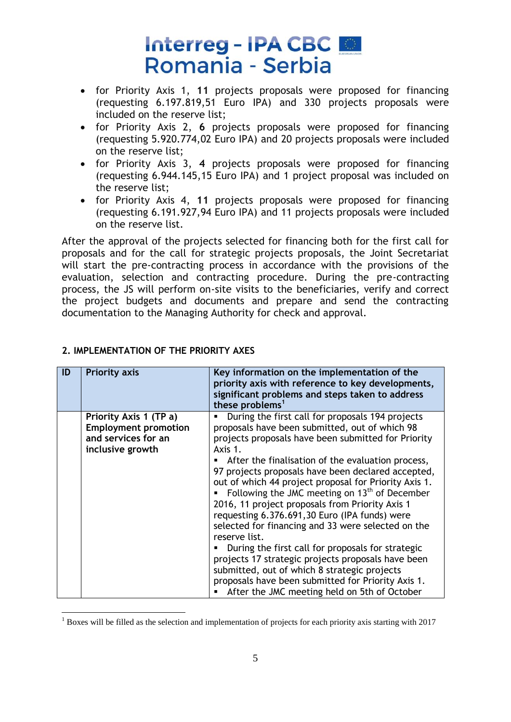- for Priority Axis 1, **11** projects proposals were proposed for financing (requesting 6.197.819,51 Euro IPA) and 330 projects proposals were included on the reserve list;
- for Priority Axis 2, **6** projects proposals were proposed for financing (requesting 5.920.774,02 Euro IPA) and 20 projects proposals were included on the reserve list;
- for Priority Axis 3, **4** projects proposals were proposed for financing (requesting 6.944.145,15 Euro IPA) and 1 project proposal was included on the reserve list;
- for Priority Axis 4, **11** projects proposals were proposed for financing (requesting 6.191.927,94 Euro IPA) and 11 projects proposals were included on the reserve list.

After the approval of the projects selected for financing both for the first call for proposals and for the call for strategic projects proposals, the Joint Secretariat will start the pre-contracting process in accordance with the provisions of the evaluation, selection and contracting procedure. During the pre-contracting process, the JS will perform on-site visits to the beneficiaries, verify and correct the project budgets and documents and prepare and send the contracting documentation to the Managing Authority for check and approval.

| ID | <b>Priority axis</b>                                                                             | Key information on the implementation of the<br>priority axis with reference to key developments,<br>significant problems and steps taken to address<br>these problems <sup>1</sup>                                                                                                                                                                                                                                                                                                                                                                                                                                                                                                                                                                                                                                                     |
|----|--------------------------------------------------------------------------------------------------|-----------------------------------------------------------------------------------------------------------------------------------------------------------------------------------------------------------------------------------------------------------------------------------------------------------------------------------------------------------------------------------------------------------------------------------------------------------------------------------------------------------------------------------------------------------------------------------------------------------------------------------------------------------------------------------------------------------------------------------------------------------------------------------------------------------------------------------------|
|    | Priority Axis 1 (TP a)<br><b>Employment promotion</b><br>and services for an<br>inclusive growth | During the first call for proposals 194 projects<br>proposals have been submitted, out of which 98<br>projects proposals have been submitted for Priority<br>Axis 1.<br>After the finalisation of the evaluation process,<br>97 projects proposals have been declared accepted,<br>out of which 44 project proposal for Priority Axis 1.<br>Following the JMC meeting on $13th$ of December<br>2016, 11 project proposals from Priority Axis 1<br>requesting 6.376.691,30 Euro (IPA funds) were<br>selected for financing and 33 were selected on the<br>reserve list.<br>During the first call for proposals for strategic<br>projects 17 strategic projects proposals have been<br>submitted, out of which 8 strategic projects<br>proposals have been submitted for Priority Axis 1.<br>After the JMC meeting held on 5th of October |

#### **2. IMPLEMENTATION OF THE PRIORITY AXES**

1

 $1$  Boxes will be filled as the selection and implementation of projects for each priority axis starting with 2017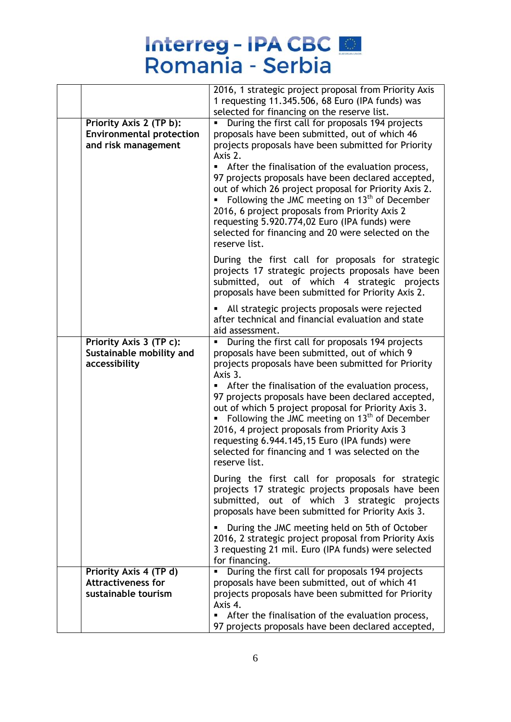# Interreg - IPA CBC

|                                                  | 2016, 1 strategic project proposal from Priority Axis                                                                                                                                                                                                                                                                                                                                         |
|--------------------------------------------------|-----------------------------------------------------------------------------------------------------------------------------------------------------------------------------------------------------------------------------------------------------------------------------------------------------------------------------------------------------------------------------------------------|
|                                                  | 1 requesting 11.345.506, 68 Euro (IPA funds) was<br>selected for financing on the reserve list.                                                                                                                                                                                                                                                                                               |
| Priority Axis 2 (TP b):                          | During the first call for proposals 194 projects                                                                                                                                                                                                                                                                                                                                              |
| <b>Environmental protection</b>                  | proposals have been submitted, out of which 46                                                                                                                                                                                                                                                                                                                                                |
| and risk management                              | projects proposals have been submitted for Priority                                                                                                                                                                                                                                                                                                                                           |
|                                                  | Axis 2.                                                                                                                                                                                                                                                                                                                                                                                       |
|                                                  | After the finalisation of the evaluation process,<br>97 projects proposals have been declared accepted,<br>out of which 26 project proposal for Priority Axis 2.<br>Following the JMC meeting on $13th$ of December<br>2016, 6 project proposals from Priority Axis 2<br>requesting 5.920.774,02 Euro (IPA funds) were<br>selected for financing and 20 were selected on the<br>reserve list. |
|                                                  | During the first call for proposals for strategic<br>projects 17 strategic projects proposals have been<br>submitted, out of which 4 strategic projects<br>proposals have been submitted for Priority Axis 2.                                                                                                                                                                                 |
|                                                  | All strategic projects proposals were rejected<br>after technical and financial evaluation and state<br>aid assessment.                                                                                                                                                                                                                                                                       |
| Priority Axis 3 (TP c):                          | During the first call for proposals 194 projects<br>٠                                                                                                                                                                                                                                                                                                                                         |
| Sustainable mobility and<br>accessibility        | proposals have been submitted, out of which 9<br>projects proposals have been submitted for Priority<br>Axis 3.                                                                                                                                                                                                                                                                               |
|                                                  | After the finalisation of the evaluation process,<br>97 projects proposals have been declared accepted,<br>out of which 5 project proposal for Priority Axis 3.<br>Following the JMC meeting on $13th$ of December<br>2016, 4 project proposals from Priority Axis 3<br>requesting 6.944.145,15 Euro (IPA funds) were<br>selected for financing and 1 was selected on the<br>reserve list.    |
|                                                  | During the first call for proposals for strategic<br>projects 17 strategic projects proposals have been<br>submitted, out of which 3 strategic projects<br>proposals have been submitted for Priority Axis 3.                                                                                                                                                                                 |
|                                                  | During the JMC meeting held on 5th of October<br>2016, 2 strategic project proposal from Priority Axis<br>3 requesting 21 mil. Euro (IPA funds) were selected<br>for financing.                                                                                                                                                                                                               |
| Priority Axis 4 (TP d)                           | During the first call for proposals 194 projects<br>٠                                                                                                                                                                                                                                                                                                                                         |
| <b>Attractiveness for</b><br>sustainable tourism | proposals have been submitted, out of which 41<br>projects proposals have been submitted for Priority                                                                                                                                                                                                                                                                                         |
|                                                  | Axis 4.                                                                                                                                                                                                                                                                                                                                                                                       |
|                                                  | After the finalisation of the evaluation process,<br>97 projects proposals have been declared accepted,                                                                                                                                                                                                                                                                                       |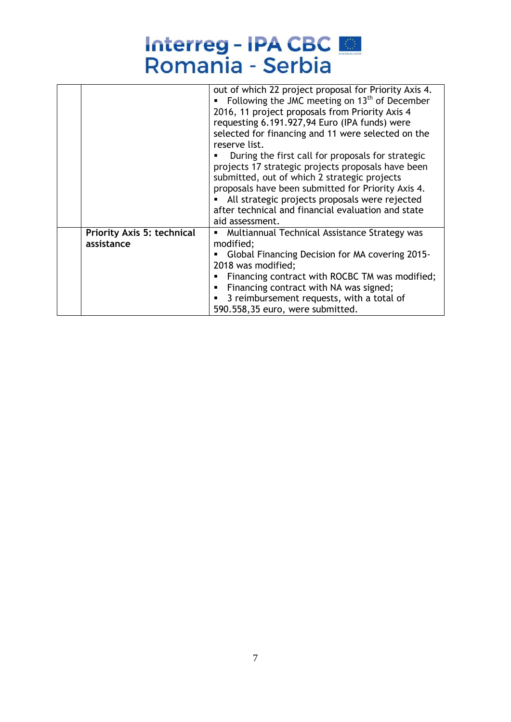|                                   | out of which 22 project proposal for Priority Axis 4.<br>Following the JMC meeting on $13th$ of December<br>2016, 11 project proposals from Priority Axis 4<br>requesting 6.191.927,94 Euro (IPA funds) were<br>selected for financing and 11 were selected on the<br>reserve list.<br>During the first call for proposals for strategic<br>projects 17 strategic projects proposals have been<br>submitted, out of which 2 strategic projects<br>proposals have been submitted for Priority Axis 4.<br>All strategic projects proposals were rejected<br>after technical and financial evaluation and state<br>aid assessment. |
|-----------------------------------|---------------------------------------------------------------------------------------------------------------------------------------------------------------------------------------------------------------------------------------------------------------------------------------------------------------------------------------------------------------------------------------------------------------------------------------------------------------------------------------------------------------------------------------------------------------------------------------------------------------------------------|
| <b>Priority Axis 5: technical</b> | Multiannual Technical Assistance Strategy was<br>٠                                                                                                                                                                                                                                                                                                                                                                                                                                                                                                                                                                              |
| assistance                        | modified;                                                                                                                                                                                                                                                                                                                                                                                                                                                                                                                                                                                                                       |
|                                   | Global Financing Decision for MA covering 2015-                                                                                                                                                                                                                                                                                                                                                                                                                                                                                                                                                                                 |
|                                   | 2018 was modified;                                                                                                                                                                                                                                                                                                                                                                                                                                                                                                                                                                                                              |
|                                   | Financing contract with ROCBC TM was modified;                                                                                                                                                                                                                                                                                                                                                                                                                                                                                                                                                                                  |
|                                   | Financing contract with NA was signed;                                                                                                                                                                                                                                                                                                                                                                                                                                                                                                                                                                                          |
|                                   | 3 reimbursement requests, with a total of                                                                                                                                                                                                                                                                                                                                                                                                                                                                                                                                                                                       |
|                                   | 590.558,35 euro, were submitted.                                                                                                                                                                                                                                                                                                                                                                                                                                                                                                                                                                                                |